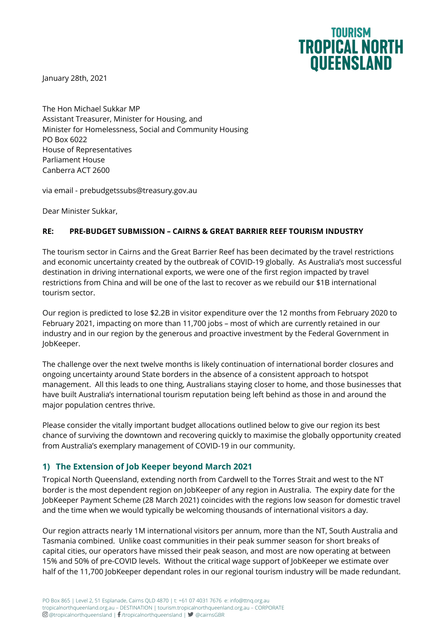**TOURISM**<br>**TROPICAL NORTH OUEENSLAND** 

January 28th, 2021

The Hon Michael Sukkar MP Assistant Treasurer, Minister for Housing, and Minister for Homelessness, Social and Community Housing PO Box 6022 House of Representatives Parliament House Canberra ACT 2600

via email - prebudgetssubs@treasury.gov.au

Dear Minister Sukkar,

## **RE: PRE-BUDGET SUBMISSION – CAIRNS & GREAT BARRIER REEF TOURISM INDUSTRY**

The tourism sector in Cairns and the Great Barrier Reef has been decimated by the travel restrictions and economic uncertainty created by the outbreak of COVID-19 globally. As Australia's most successful destination in driving international exports, we were one of the first region impacted by travel restrictions from China and will be one of the last to recover as we rebuild our \$1B international tourism sector.

Our region is predicted to lose \$2.2B in visitor expenditure over the 12 months from February 2020 to February 2021, impacting on more than 11,700 jobs – most of which are currently retained in our industry and in our region by the generous and proactive investment by the Federal Government in JobKeeper.

The challenge over the next twelve months is likely continuation of international border closures and ongoing uncertainty around State borders in the absence of a consistent approach to hotspot management. All this leads to one thing, Australians staying closer to home, and those businesses that have built Australia's international tourism reputation being left behind as those in and around the major population centres thrive.

Please consider the vitally important budget allocations outlined below to give our region its best chance of surviving the downtown and recovering quickly to maximise the globally opportunity created from Australia's exemplary management of COVID-19 in our community.

# **1) The Extension of Job Keeper beyond March 2021**

Tropical North Queensland, extending north from Cardwell to the Torres Strait and west to the NT border is the most dependent region on JobKeeper of any region in Australia. The expiry date for the JobKeeper Payment Scheme (28 March 2021) coincides with the regions low season for domestic travel and the time when we would typically be welcoming thousands of international visitors a day.

Our region attracts nearly 1M international visitors per annum, more than the NT, South Australia and Tasmania combined. Unlike coast communities in their peak summer season for short breaks of capital cities, our operators have missed their peak season, and most are now operating at between 15% and 50% of pre-COVID levels. Without the critical wage support of JobKeeper we estimate over half of the 11,700 JobKeeper dependant roles in our regional tourism industry will be made redundant.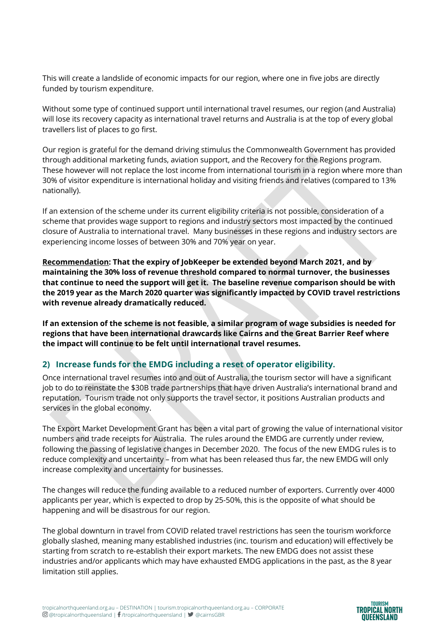This will create a landslide of economic impacts for our region, where one in five jobs are directly funded by tourism expenditure.

Without some type of continued support until international travel resumes, our region (and Australia) will lose its recovery capacity as international travel returns and Australia is at the top of every global travellers list of places to go first.

Our region is grateful for the demand driving stimulus the Commonwealth Government has provided through additional marketing funds, aviation support, and the Recovery for the Regions program. These however will not replace the lost income from international tourism in a region where more than 30% of visitor expenditure is international holiday and visiting friends and relatives (compared to 13% nationally).

If an extension of the scheme under its current eligibility criteria is not possible, consideration of a scheme that provides wage support to regions and industry sectors most impacted by the continued closure of Australia to international travel. Many businesses in these regions and industry sectors are experiencing income losses of between 30% and 70% year on year.

**Recommendation: That the expiry of JobKeeper be extended beyond March 2021, and by maintaining the 30% loss of revenue threshold compared to normal turnover, the businesses that continue to need the support will get it. The baseline revenue comparison should be with the 2019 year as the March 2020 quarter was significantly impacted by COVID travel restrictions with revenue already dramatically reduced.** 

**If an extension of the scheme is not feasible, a similar program of wage subsidies is needed for regions that have been international drawcards like Cairns and the Great Barrier Reef where the impact will continue to be felt until international travel resumes.** 

# **2) Increase funds for the EMDG including a reset of operator eligibility.**

Once international travel resumes into and out of Australia, the tourism sector will have a significant job to do to reinstate the \$30B trade partnerships that have driven Australia's international brand and reputation. Tourism trade not only supports the travel sector, it positions Australian products and services in the global economy.

The Export Market Development Grant has been a vital part of growing the value of international visitor numbers and trade receipts for Australia. The rules around the EMDG are currently under review, following the passing of legislative changes in December 2020. The focus of the new EMDG rules is to reduce complexity and uncertainty – from what has been released thus far, the new EMDG will only increase complexity and uncertainty for businesses.

The changes will reduce the funding available to a reduced number of exporters. Currently over 4000 applicants per year, which is expected to drop by 25-50%, this is the opposite of what should be happening and will be disastrous for our region.

The global downturn in travel from COVID related travel restrictions has seen the tourism workforce globally slashed, meaning many established industries (inc. tourism and education) will effectively be starting from scratch to re-establish their export markets. The new EMDG does not assist these industries and/or applicants which may have exhausted EMDG applications in the past, as the 8 year limitation still applies.

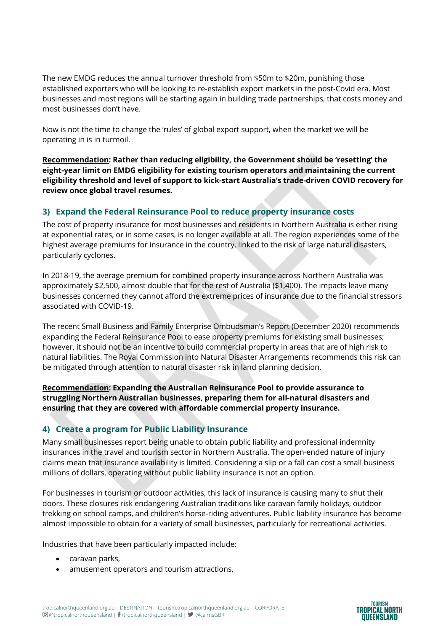The new EMDG reduces the annual turnover threshold from \$50m to \$20m, punishing those established exporters who will be looking to re-establish export markets in the post-Covid era. Most businesses and most regions will be starting again in building trade partnerships, that costs money and most businesses don't have.

Now is not the time to change the 'rules' of global export support, when the market we will be operating in is in turmoil.

**Recommendation: Rather than reducing eligibility, the Government should be 'resetting' the eight-year limit on EMDG eligibility for existing tourism operators and maintaining the current eligibility threshold and level of support to kick-start Australia's trade-driven COVID recovery for review once global travel resumes.** 

# **3) Expand the Federal Reinsurance Pool to reduce property insurance costs**

The cost of property insurance for most businesses and residents in Northern Australia is either rising at exponential rates, or in some cases, is no longer available at all. The region experiences some of the highest average premiums for insurance in the country, linked to the risk of large natural disasters, particularly cyclones.

In 2018-19, the average premium for combined property insurance across Northern Australia was approximately \$2,500, almost double that for the rest of Australia (\$1,400). The impacts leave many businesses concerned they cannot afford the extreme prices of insurance due to the financial stressors associated with COVID-19.

The recent Small Business and Family Enterprise Ombudsman's Report (December 2020) recommends expanding the Federal Reinsurance Pool to ease property premiums for existing small businesses; however, it should not be an incentive to build commercial property in areas that are of high risk to natural liabilities. The Royal Commission into Natural Disaster Arrangements recommends this risk can be mitigated through attention to natural disaster risk in land planning decision.

**Recommendation: Expanding the Australian Reinsurance Pool to provide assurance to struggling Northern Australian businesses, preparing them for all-natural disasters and ensuring that they are covered with affordable commercial property insurance.** 

# **4) Create a program for Public Liability Insurance**

Many small businesses report being unable to obtain public liability and professional indemnity insurances in the travel and tourism sector in Northern Australia. The open-ended nature of injury claims mean that insurance availability is limited. Considering a slip or a fall can cost a small business millions of dollars, operating without public liability insurance is not an option.

For businesses in tourism or outdoor activities, this lack of insurance is causing many to shut their doors. These closures risk endangering Australian traditions like caravan family holidays, outdoor trekking on school camps, and children's horse-riding adventures. Public liability insurance has become almost impossible to obtain for a variety of small businesses, particularly for recreational activities.

Industries that have been particularly impacted include:

- caravan parks,
- amusement operators and tourism attractions,